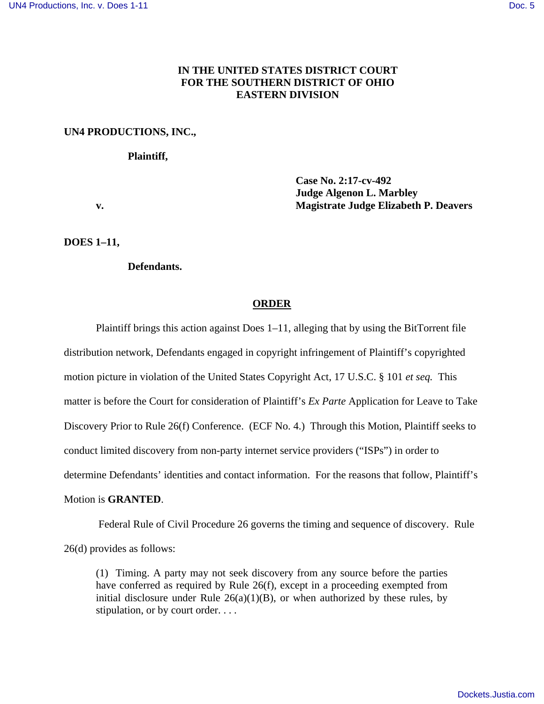# **IN THE UNITED STATES DISTRICT COURT FOR THE SOUTHERN DISTRICT OF OHIO EASTERN DIVISION**

## **UN4 PRODUCTIONS, INC.,**

#### **Plaintiff,**

**Case No. 2:17-cv-492 Judge Algenon L. Marbley v. Magistrate Judge Elizabeth P. Deavers** 

**DOES 1–11,** 

**Defendants.** 

## **ORDER**

Plaintiff brings this action against Does 1–11, alleging that by using the BitTorrent file distribution network, Defendants engaged in copyright infringement of Plaintiff's copyrighted motion picture in violation of the United States Copyright Act, 17 U.S.C. § 101 *et seq.* This matter is before the Court for consideration of Plaintiff's *Ex Parte* Application for Leave to Take Discovery Prior to Rule 26(f) Conference. (ECF No. 4.) Through this Motion, Plaintiff seeks to conduct limited discovery from non-party internet service providers ("ISPs") in order to determine Defendants' identities and contact information. For the reasons that follow, Plaintiff's Motion is **GRANTED**.

Federal Rule of Civil Procedure 26 governs the timing and sequence of discovery. Rule 26(d) provides as follows:

(1) Timing. A party may not seek discovery from any source before the parties have conferred as required by Rule 26(f), except in a proceeding exempted from initial disclosure under Rule  $26(a)(1)(B)$ , or when authorized by these rules, by stipulation, or by court order. . . .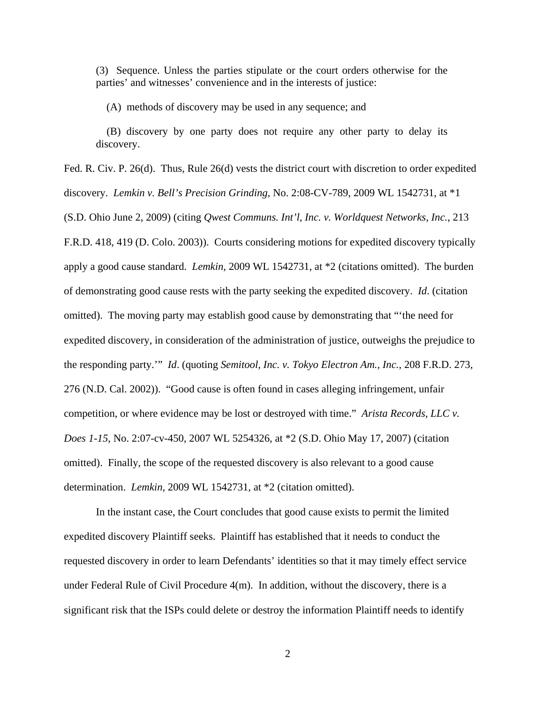(3) Sequence. Unless the parties stipulate or the court orders otherwise for the parties' and witnesses' convenience and in the interests of justice:

(A) methods of discovery may be used in any sequence; and

 (B) discovery by one party does not require any other party to delay its discovery.

Fed. R. Civ. P. 26(d). Thus, Rule 26(d) vests the district court with discretion to order expedited discovery. *Lemkin v. Bell's Precision Grinding*, No. 2:08-CV-789, 2009 WL 1542731, at \*1 (S.D. Ohio June 2, 2009) (citing *Qwest Communs. Int'l, Inc. v. Worldquest Networks, Inc.*, 213 F.R.D. 418, 419 (D. Colo. 2003)). Courts considering motions for expedited discovery typically apply a good cause standard. *Lemkin*, 2009 WL 1542731, at \*2 (citations omitted). The burden of demonstrating good cause rests with the party seeking the expedited discovery. *Id*. (citation omitted). The moving party may establish good cause by demonstrating that "'the need for expedited discovery, in consideration of the administration of justice, outweighs the prejudice to the responding party.'" *Id*. (quoting *Semitool, Inc. v. Tokyo Electron Am., Inc.*, 208 F.R.D. 273, 276 (N.D. Cal. 2002)). "Good cause is often found in cases alleging infringement, unfair competition, or where evidence may be lost or destroyed with time." *Arista Records, LLC v. Does 1-15*, No. 2:07-cv-450, 2007 WL 5254326, at \*2 (S.D. Ohio May 17, 2007) (citation omitted). Finally, the scope of the requested discovery is also relevant to a good cause determination. *Lemkin*, 2009 WL 1542731, at \*2 (citation omitted).

In the instant case, the Court concludes that good cause exists to permit the limited expedited discovery Plaintiff seeks. Plaintiff has established that it needs to conduct the requested discovery in order to learn Defendants' identities so that it may timely effect service under Federal Rule of Civil Procedure 4(m). In addition, without the discovery, there is a significant risk that the ISPs could delete or destroy the information Plaintiff needs to identify